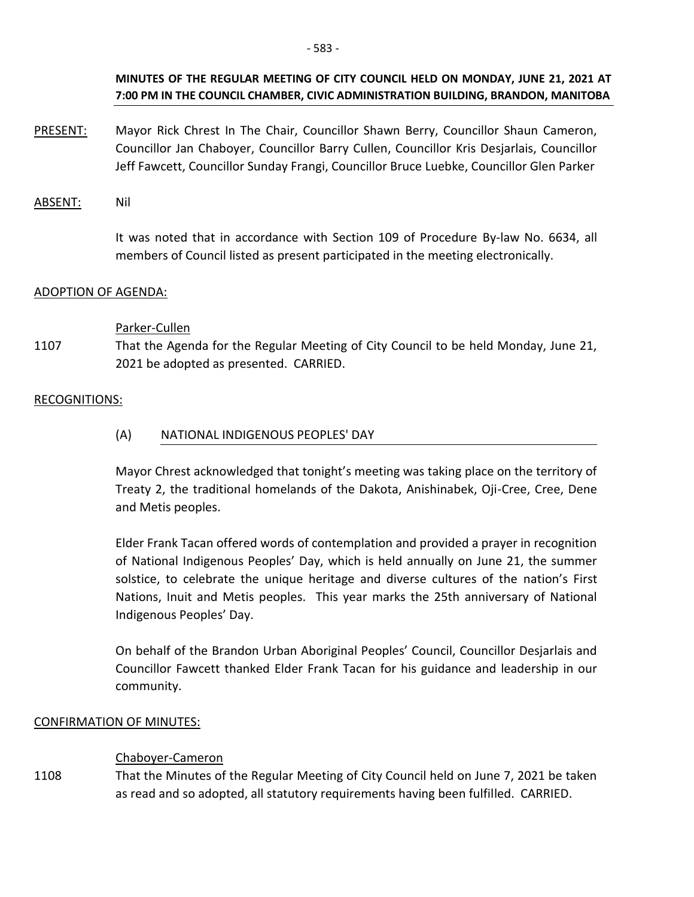## **MINUTES OF THE REGULAR MEETING OF CITY COUNCIL HELD ON MONDAY, JUNE 21, 2021 AT 7:00 PM IN THE COUNCIL CHAMBER, CIVIC ADMINISTRATION BUILDING, BRANDON, MANITOBA**

- PRESENT: Mayor Rick Chrest In The Chair, Councillor Shawn Berry, Councillor Shaun Cameron, Councillor Jan Chaboyer, Councillor Barry Cullen, Councillor Kris Desjarlais, Councillor Jeff Fawcett, Councillor Sunday Frangi, Councillor Bruce Luebke, Councillor Glen Parker
- ABSENT: Nil

 It was noted that in accordance with Section 109 of Procedure By-law No. 6634, all members of Council listed as present participated in the meeting electronically.

## ADOPTION OF AGENDA:

## Parker-Cullen

1107 That the Agenda for the Regular Meeting of City Council to be held Monday, June 21, 2021 be adopted as presented. CARRIED.

## RECOGNITIONS:

## (A) NATIONAL INDIGENOUS PEOPLES' DAY

Mayor Chrest acknowledged that tonight's meeting was taking place on the territory of Treaty 2, the traditional homelands of the Dakota, Anishinabek, Oji-Cree, Cree, Dene and Metis peoples.

Elder Frank Tacan offered words of contemplation and provided a prayer in recognition of National Indigenous Peoples' Day, which is held annually on June 21, the summer solstice, to celebrate the unique heritage and diverse cultures of the nation's First Nations, Inuit and Metis peoples. This year marks the 25th anniversary of National Indigenous Peoples' Day.

On behalf of the Brandon Urban Aboriginal Peoples' Council, Councillor Desjarlais and Councillor Fawcett thanked Elder Frank Tacan for his guidance and leadership in our community.

## CONFIRMATION OF MINUTES:

## Chaboyer-Cameron

1108 That the Minutes of the Regular Meeting of City Council held on June 7, 2021 be taken as read and so adopted, all statutory requirements having been fulfilled. CARRIED.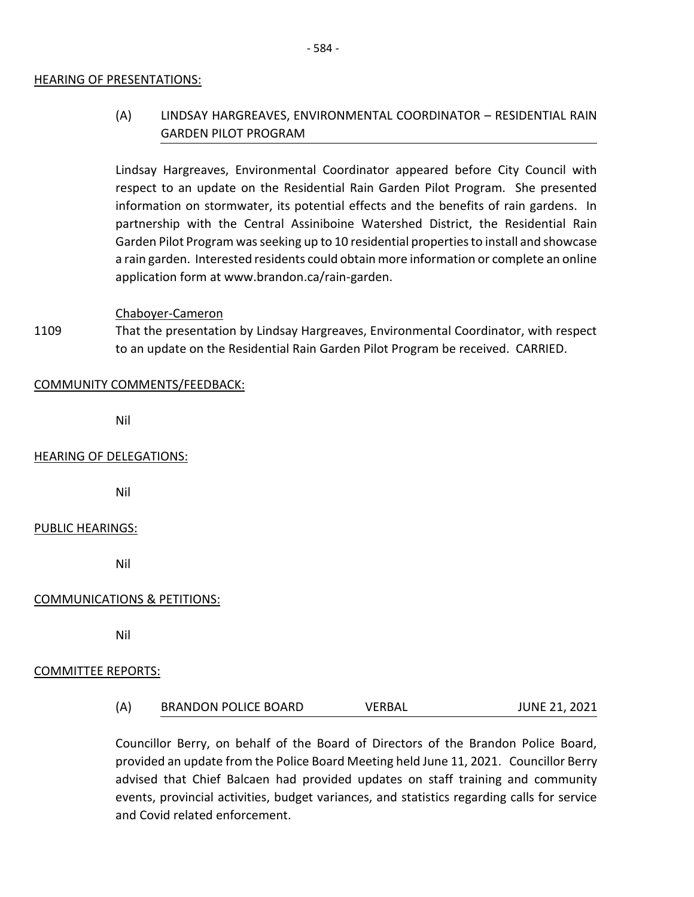#### HEARING OF PRESENTATIONS:

# (A) LINDSAY HARGREAVES, ENVIRONMENTAL COORDINATOR – RESIDENTIAL RAIN GARDEN PILOT PROGRAM

Lindsay Hargreaves, Environmental Coordinator appeared before City Council with respect to an update on the Residential Rain Garden Pilot Program. She presented information on stormwater, its potential effects and the benefits of rain gardens. In partnership with the Central Assiniboine Watershed District, the Residential Rain Garden Pilot Program was seeking up to 10 residential properties to install and showcase a rain garden. Interested residents could obtain more information or complete an online application form at www.brandon.ca/rain-garden.

#### Chaboyer-Cameron

1109 That the presentation by Lindsay Hargreaves, Environmental Coordinator, with respect to an update on the Residential Rain Garden Pilot Program be received. CARRIED.

#### COMMUNITY COMMENTS/FEEDBACK:

Nil

#### HEARING OF DELEGATIONS:

Nil

#### PUBLIC HEARINGS:

Nil

#### COMMUNICATIONS & PETITIONS:

Nil

#### COMMITTEE REPORTS:

(A) BRANDON POLICE BOARD VERBAL JUNE 21, 2021

Councillor Berry, on behalf of the Board of Directors of the Brandon Police Board, provided an update from the Police Board Meeting held June 11, 2021. Councillor Berry advised that Chief Balcaen had provided updates on staff training and community events, provincial activities, budget variances, and statistics regarding calls for service and Covid related enforcement.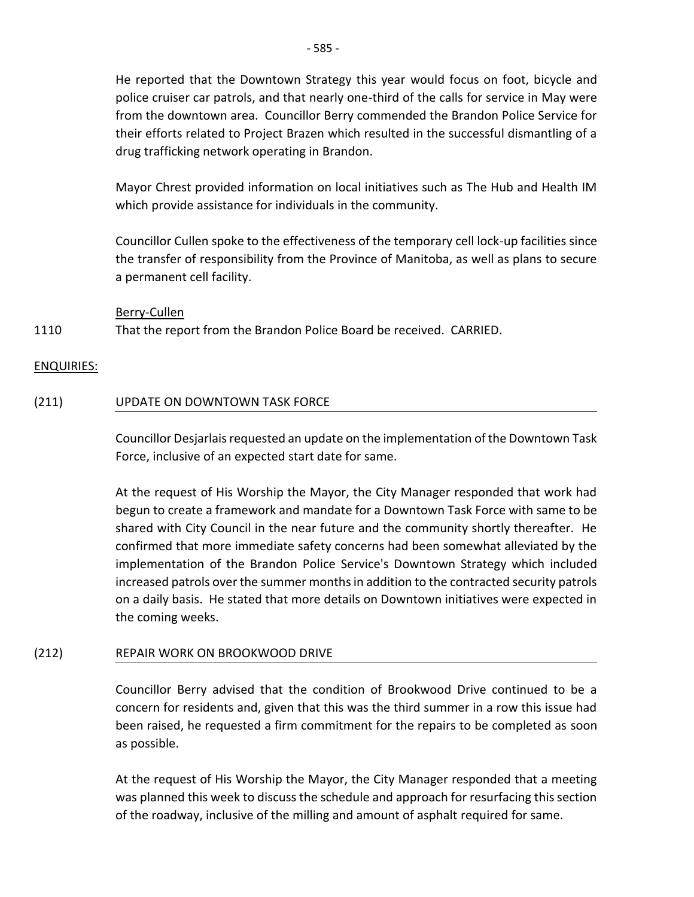He reported that the Downtown Strategy this year would focus on foot, bicycle and police cruiser car patrols, and that nearly one-third of the calls for service in May were from the downtown area. Councillor Berry commended the Brandon Police Service for their efforts related to Project Brazen which resulted in the successful dismantling of a drug trafficking network operating in Brandon.

Mayor Chrest provided information on local initiatives such as The Hub and Health IM which provide assistance for individuals in the community.

Councillor Cullen spoke to the effectiveness of the temporary cell lock-up facilities since the transfer of responsibility from the Province of Manitoba, as well as plans to secure a permanent cell facility.

Berry-Cullen

#### 1110 That the report from the Brandon Police Board be received. CARRIED.

## ENQUIRIES:

## (211) UPDATE ON DOWNTOWN TASK FORCE

Councillor Desjarlais requested an update on the implementation of the Downtown Task Force, inclusive of an expected start date for same.

At the request of His Worship the Mayor, the City Manager responded that work had begun to create a framework and mandate for a Downtown Task Force with same to be shared with City Council in the near future and the community shortly thereafter. He confirmed that more immediate safety concerns had been somewhat alleviated by the implementation of the Brandon Police Service's Downtown Strategy which included increased patrols over the summer months in addition to the contracted security patrols on a daily basis. He stated that more details on Downtown initiatives were expected in the coming weeks.

## (212) REPAIR WORK ON BROOKWOOD DRIVE

Councillor Berry advised that the condition of Brookwood Drive continued to be a concern for residents and, given that this was the third summer in a row this issue had been raised, he requested a firm commitment for the repairs to be completed as soon as possible.

At the request of His Worship the Mayor, the City Manager responded that a meeting was planned this week to discuss the schedule and approach for resurfacing this section of the roadway, inclusive of the milling and amount of asphalt required for same.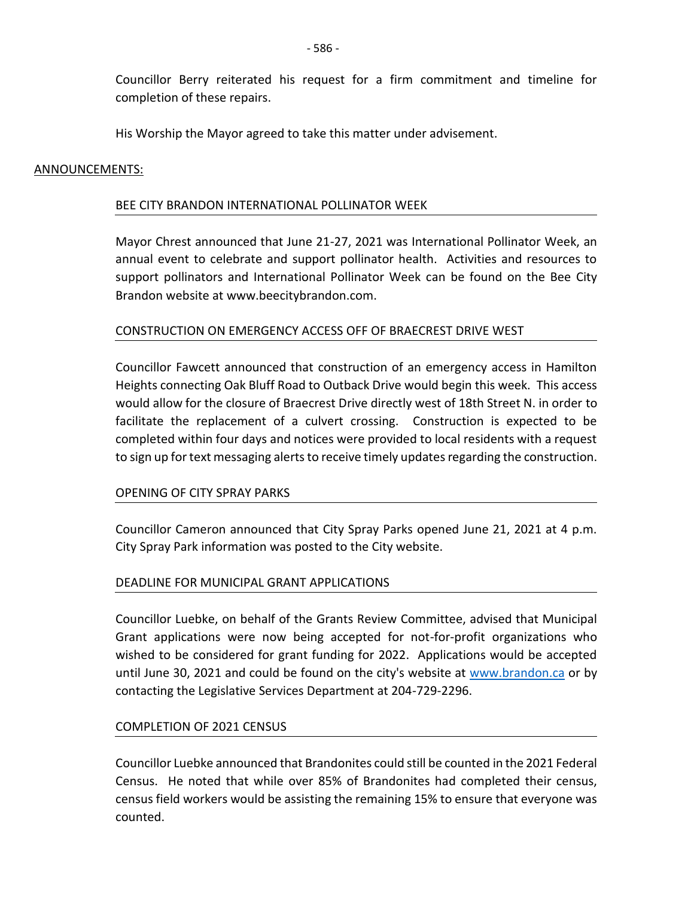Councillor Berry reiterated his request for a firm commitment and timeline for completion of these repairs.

His Worship the Mayor agreed to take this matter under advisement.

#### ANNOUNCEMENTS:

#### BEE CITY BRANDON INTERNATIONAL POLLINATOR WEEK

Mayor Chrest announced that June 21-27, 2021 was International Pollinator Week, an annual event to celebrate and support pollinator health. Activities and resources to support pollinators and International Pollinator Week can be found on the Bee City Brandon website at www.beecitybrandon.com.

## CONSTRUCTION ON EMERGENCY ACCESS OFF OF BRAECREST DRIVE WEST

Councillor Fawcett announced that construction of an emergency access in Hamilton Heights connecting Oak Bluff Road to Outback Drive would begin this week. This access would allow for the closure of Braecrest Drive directly west of 18th Street N. in order to facilitate the replacement of a culvert crossing. Construction is expected to be completed within four days and notices were provided to local residents with a request to sign up for text messaging alerts to receive timely updates regarding the construction.

#### OPENING OF CITY SPRAY PARKS

Councillor Cameron announced that City Spray Parks opened June 21, 2021 at 4 p.m. City Spray Park information was posted to the City website.

## DEADLINE FOR MUNICIPAL GRANT APPLICATIONS

Councillor Luebke, on behalf of the Grants Review Committee, advised that Municipal Grant applications were now being accepted for not-for-profit organizations who wished to be considered for grant funding for 2022. Applications would be accepted until June 30, 2021 and could be found on the city's website at [www.brandon.ca](http://www.brandon.ca/) or by contacting the Legislative Services Department at 204-729-2296.

#### COMPLETION OF 2021 CENSUS

Councillor Luebke announced that Brandonites could still be counted in the 2021 Federal Census. He noted that while over 85% of Brandonites had completed their census, census field workers would be assisting the remaining 15% to ensure that everyone was counted.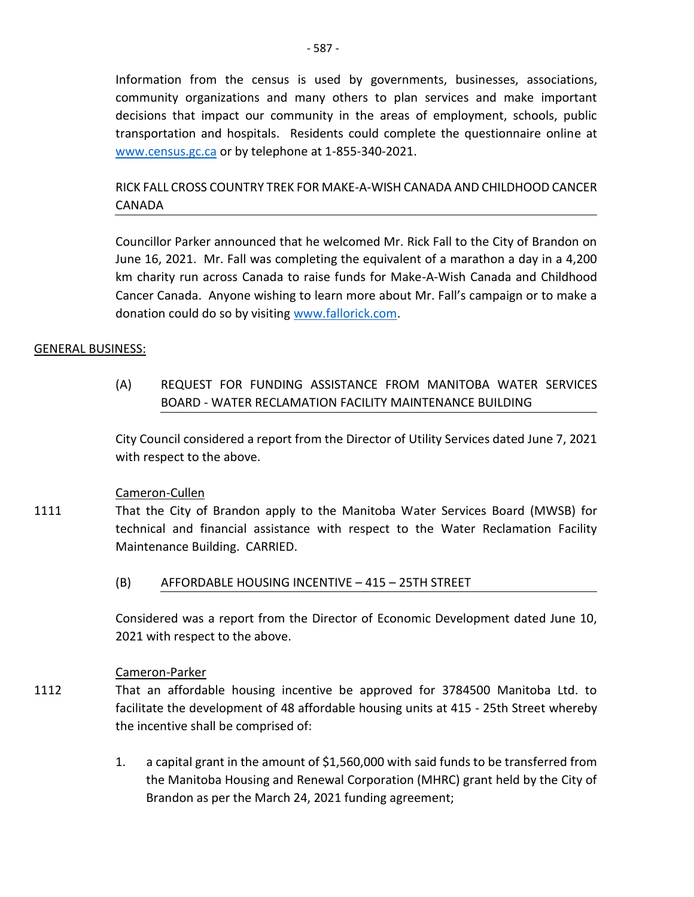Information from the census is used by governments, businesses, associations, community organizations and many others to plan services and make important decisions that impact our community in the areas of employment, schools, public transportation and hospitals. Residents could complete the questionnaire online at [www.census.gc.ca](http://www.census.gc.ca/) or by telephone at 1-855-340-2021.

# RICK FALL CROSS COUNTRY TREK FOR MAKE-A-WISH CANADA AND CHILDHOOD CANCER CANADA

Councillor Parker announced that he welcomed Mr. Rick Fall to the City of Brandon on June 16, 2021. Mr. Fall was completing the equivalent of a marathon a day in a 4,200 km charity run across Canada to raise funds for Make-A-Wish Canada and Childhood Cancer Canada. Anyone wishing to learn more about Mr. Fall's campaign or to make a donation could do so by visiting [www.fallorick.com.](http://www.fallorick.com/)

## GENERAL BUSINESS:

(A) REQUEST FOR FUNDING ASSISTANCE FROM MANITOBA WATER SERVICES BOARD - WATER RECLAMATION FACILITY MAINTENANCE BUILDING

City Council considered a report from the Director of Utility Services dated June 7, 2021 with respect to the above.

## Cameron-Cullen

- 1111 That the City of Brandon apply to the Manitoba Water Services Board (MWSB) for technical and financial assistance with respect to the Water Reclamation Facility Maintenance Building. CARRIED.
	- (B) AFFORDABLE HOUSING INCENTIVE 415 25TH STREET

Considered was a report from the Director of Economic Development dated June 10, 2021 with respect to the above.

## Cameron-Parker

- 1112 That an affordable housing incentive be approved for 3784500 Manitoba Ltd. to facilitate the development of 48 affordable housing units at 415 - 25th Street whereby the incentive shall be comprised of:
	- 1. a capital grant in the amount of \$1,560,000 with said funds to be transferred from the Manitoba Housing and Renewal Corporation (MHRC) grant held by the City of Brandon as per the March 24, 2021 funding agreement;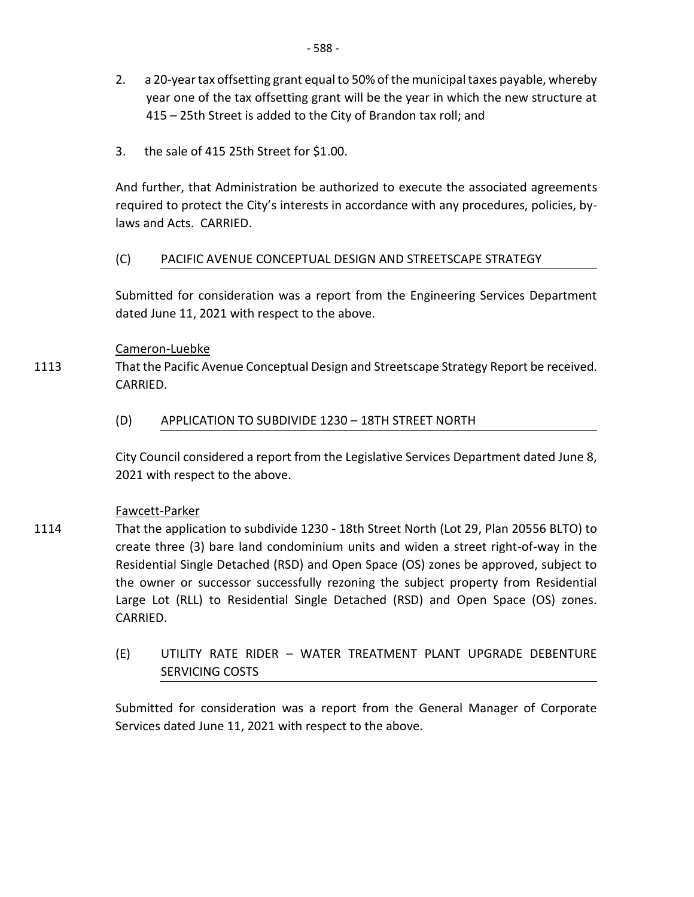- 2. a 20-year tax offsetting grant equal to 50% of the municipal taxes payable, whereby year one of the tax offsetting grant will be the year in which the new structure at 415 – 25th Street is added to the City of Brandon tax roll; and
- 3. the sale of 415 25th Street for \$1.00.

And further, that Administration be authorized to execute the associated agreements required to protect the City's interests in accordance with any procedures, policies, bylaws and Acts. CARRIED.

# (C) PACIFIC AVENUE CONCEPTUAL DESIGN AND STREETSCAPE STRATEGY

Submitted for consideration was a report from the Engineering Services Department dated June 11, 2021 with respect to the above.

## Cameron-Luebke

1113 That the Pacific Avenue Conceptual Design and Streetscape Strategy Report be received. CARRIED.

# (D) APPLICATION TO SUBDIVIDE 1230 – 18TH STREET NORTH

City Council considered a report from the Legislative Services Department dated June 8, 2021 with respect to the above.

## Fawcett-Parker

- 1114 That the application to subdivide 1230 - 18th Street North (Lot 29, Plan 20556 BLTO) to create three (3) bare land condominium units and widen a street right-of-way in the Residential Single Detached (RSD) and Open Space (OS) zones be approved, subject to the owner or successor successfully rezoning the subject property from Residential Large Lot (RLL) to Residential Single Detached (RSD) and Open Space (OS) zones. CARRIED.
	- (E) UTILITY RATE RIDER WATER TREATMENT PLANT UPGRADE DEBENTURE SERVICING COSTS

Submitted for consideration was a report from the General Manager of Corporate Services dated June 11, 2021 with respect to the above.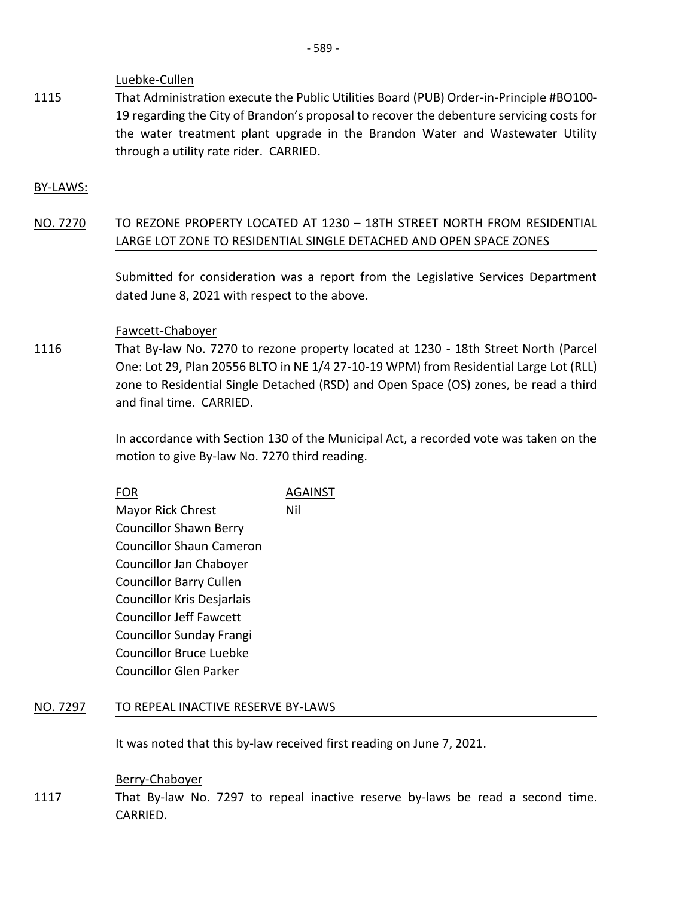Luebke-Cullen

1115 That Administration execute the Public Utilities Board (PUB) Order-in-Principle #BO100- 19 regarding the City of Brandon's proposal to recover the debenture servicing costs for the water treatment plant upgrade in the Brandon Water and Wastewater Utility through a utility rate rider. CARRIED.

#### BY-LAWS:

NO. 7270 TO REZONE PROPERTY LOCATED AT 1230 – 18TH STREET NORTH FROM RESIDENTIAL LARGE LOT ZONE TO RESIDENTIAL SINGLE DETACHED AND OPEN SPACE ZONES

> Submitted for consideration was a report from the Legislative Services Department dated June 8, 2021 with respect to the above.

#### Fawcett-Chaboyer

1116 That By-law No. 7270 to rezone property located at 1230 - 18th Street North (Parcel One: Lot 29, Plan 20556 BLTO in NE 1/4 27-10-19 WPM) from Residential Large Lot (RLL) zone to Residential Single Detached (RSD) and Open Space (OS) zones, be read a third and final time. CARRIED.

> In accordance with Section 130 of the Municipal Act, a recorded vote was taken on the motion to give By-law No. 7270 third reading.

|                                 | AGAINST |
|---------------------------------|---------|
| <b>Mayor Rick Chrest</b>        | Nil     |
| <b>Councillor Shawn Berry</b>   |         |
| <b>Councillor Shaun Cameron</b> |         |
| Councillor Jan Chaboyer         |         |
| <b>Councillor Barry Cullen</b>  |         |
| Councillor Kris Desjarlais      |         |
| <b>Councillor Jeff Fawcett</b>  |         |
| <b>Councillor Sunday Frangi</b> |         |
| <b>Councillor Bruce Luebke</b>  |         |
| Councillor Glen Parker          |         |

## NO. 7297 TO REPEAL INACTIVE RESERVE BY-LAWS

It was noted that this by-law received first reading on June 7, 2021.

Berry-Chaboyer

1117 That By-law No. 7297 to repeal inactive reserve by-laws be read a second time. CARRIED.